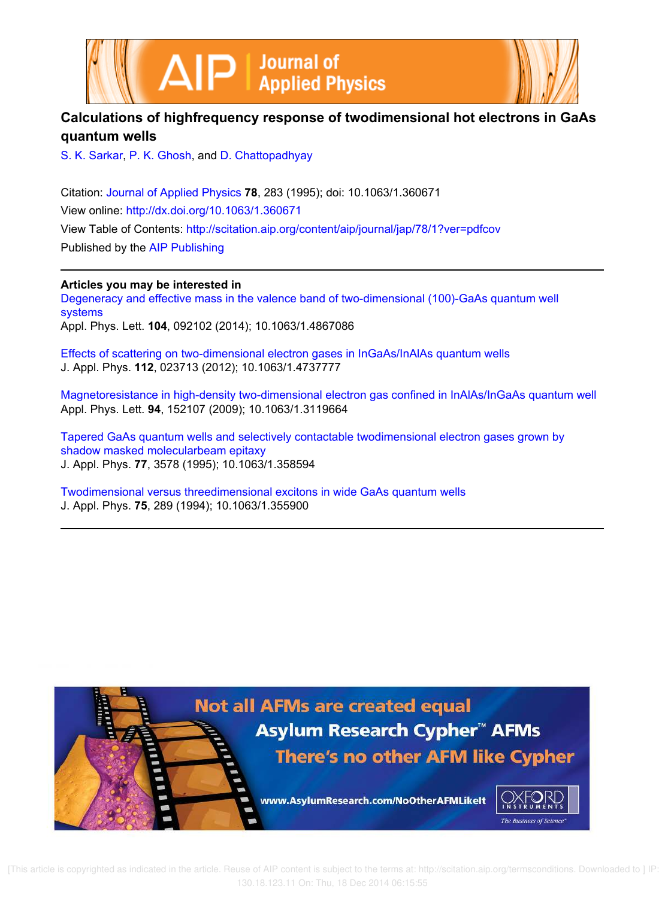



# **Calculations of highfrequency response of twodimensional hot electrons in GaAs quantum wells**

S. K. Sarkar, P. K. Ghosh, and D. Chattopadhyay

Citation: Journal of Applied Physics **78**, 283 (1995); doi: 10.1063/1.360671 View online: http://dx.doi.org/10.1063/1.360671 View Table of Contents: http://scitation.aip.org/content/aip/journal/jap/78/1?ver=pdfcov Published by the AIP Publishing

**Articles you may be interested in**

Degeneracy and effective mass in the valence band of two-dimensional (100)-GaAs quantum well systems Appl. Phys. Lett. **104**, 092102 (2014); 10.1063/1.4867086

Effects of scattering on two-dimensional electron gases in InGaAs/InAlAs quantum wells J. Appl. Phys. **112**, 023713 (2012); 10.1063/1.4737777

Magnetoresistance in high-density two-dimensional electron gas confined in InAlAs/InGaAs quantum well Appl. Phys. Lett. **94**, 152107 (2009); 10.1063/1.3119664

Tapered GaAs quantum wells and selectively contactable twodimensional electron gases grown by shadow masked molecularbeam epitaxy J. Appl. Phys. **77**, 3578 (1995); 10.1063/1.358594

Twodimensional versus threedimensional excitons in wide GaAs quantum wells J. Appl. Phys. **75**, 289 (1994); 10.1063/1.355900



 [This article is copyrighted as indicated in the article. Reuse of AIP content is subject to the terms at: http://scitation.aip.org/termsconditions. Downloaded to ] IP: 130.18.123.11 On: Thu, 18 Dec 2014 06:15:55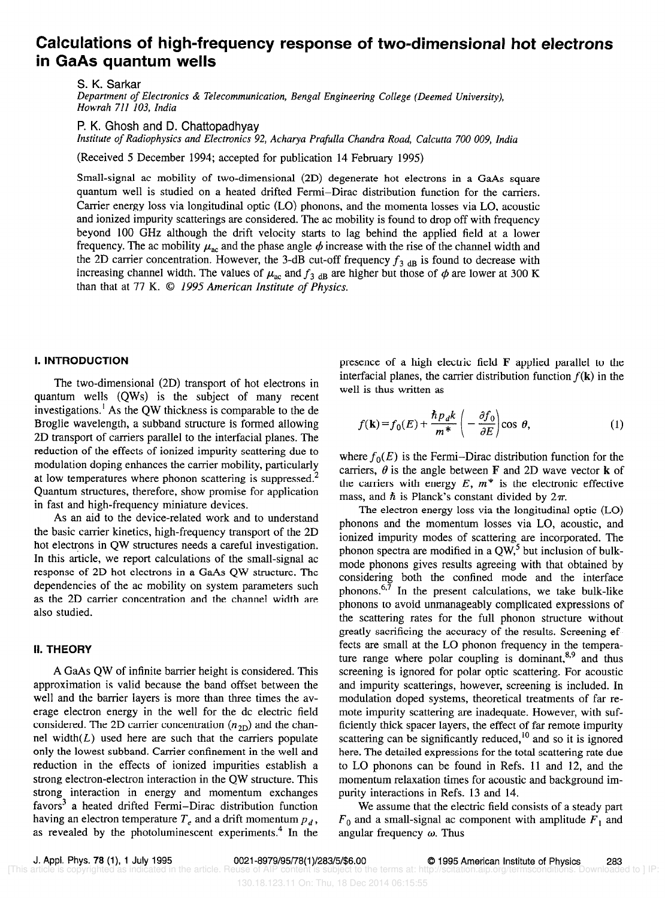## Calculations of high-frequency response of two-dimensional hot electrons in GaAs quantum wells

S. K. Sarkar

Department of Electronics & Telecommunication, Bengal Engineering College (Deemed University), Howrah 711 103, India

P. K. Ghosh and D. Chatiopadhyay

Institute of Radiophysics and Electronics 92, Acharya Prafulla Chandra Road, Calcutta 700 009, India

(Received 5 December 1994; accepted for publication 14 February 1995)

Small-signal ac mobility of two-dimensional (2D) degenerate hot electrons in a GaAs square quantum well is studied on a heated drifted Fermi-Dirac distribution function for the carriers. Carrier energy loss via longitudinal optic (LO) phonons, and the momenta losses via LO, acoustic and ionized impurity scatterings are considered. The ac mobility is found to drop off with frequency beyond 100 GHz although the drift velocity starts to lag behind the applied field at a lower frequency. The ac mobility  $\mu_{ac}$  and the phase angle  $\phi$  increase with the rise of the channel width and the 2D carrier concentration. However, the 3-dB cut-off frequency  $f_{3 dB}$  is found to decrease with increasing channel width. The values of  $\mu_{ac}$  and  $f_{3 dB}$  are higher but those of  $\phi$  are lower at 300 K than that at 77 K.  $\odot$  1995 American Institute of Physics.

### I. INTRODUCTION

The two-dimensional (2D) transport of hot electrons in quantum wells (QWs) is the subject of many recent investigations.' As the QW thickness is comparable to the de Broglie wavelength, a subband structure is formed allowing 2D transport of carriers parallel to the interfacial planes. The reduction of the effects of ionized impurity scattering due to modulation doping enhances the carrier mobility, particularly at low temperatures where phonon scattering is suppressed. $2$ Quantum structures, therefore, show promise for application in fast and high-frequency miniature devices.

As an aid to the device-related work and to understand the basic carrier kinetics, high-frequency transport of the 2D hot electrons in QW structures needs a careful investigation. In this article, we report calculations of the small-signal ac response of 2D hot electrons in a GaAs QW structure. The dependencies of the ac mobility on system parameters such as the 2D carrier concentration and the channel width are also studied.

### II. THEORY

A GaAs QW of infinite barrier height is considered. This approximation is valid because the band offset between the well and the barrier layers is more than three times the average electron energy in the well for the dc electric field considered. The 2D carrier concentration  $(n_{2D})$  and the channel width $(L)$  used here are such that the carriers populate only the lowest subband. Carrier confinement in the well and reduction in the effects of ionized impurities establish a strong electron-electron interaction in the QW structure. This strong interaction in energy and momentum exchanges favors<sup>3</sup> a heated drifted Fermi-Dirac distribution function having an electron temperature  $T_e$  and a drift momentum  $p_d$ , as revealed by the photoluminescent experiments.<sup>4</sup> In the presence of a high electric field F applied parallel to the interfacial planes, the carrier distribution function  $f(\mathbf{k})$  in the well is thus written as

$$
f(\mathbf{k}) = f_0(E) + \frac{\hbar p_d k}{m^*} \left( -\frac{\partial f_0}{\partial E} \right) \cos \theta, \tag{1}
$$

where  $f_0(E)$  is the Fermi-Dirac distribution function for the carriers,  $\theta$  is the angle between F and 2D wave vector **k** of the carriers with energy  $E$ ,  $m^*$  is the electronic effective mass, and  $\hbar$  is Planck's constant divided by  $2\pi$ .

The electron energy loss via the longitudinal optic (LO) phonons and the momentum losses via LO, acoustic, and ionized impurity modes of scattering are incorporated. The phonon spectra are modified in a  $QW<sub>1</sub><sup>5</sup>$  but inclusion of bulkmode phonons gives results agreeing with that obtained by considering both the confined mode and the interface phonons.<sup>6,7</sup> In the present calculations, we take bulk-like phonons to avoid unmanageably complicated expressions of the scattering rates for the full phonon structure without greatly sacrificing the accuracy of the results. Screening effects are small at the LO phonon frequency in the temperature range where polar coupling is dominant,  $8.9$  and thus screening is ignored for polar optic scattering. For acoustic and impurity scatterings, however, screening is included. In modulation doped systems, theoretical treatments of far remote impurity scattering are inadequate. However, with sufficiently thick spacer layers, the effect of far remote impurity scattering can be significantly reduced,  $^{10}$  and so it is ignored here. The detailed expressions for the total scattering rate due to LO phonons can be found in Refs. 11 and 12, and the momentum relaxation times for acoustic and background impurity interactions in Refs. 13 and 14.

We assume that the electric field consists of a steady part  $F_0$  and a small-signal ac component with amplitude  $F_1$  and angular frequency  $\omega$ . Thus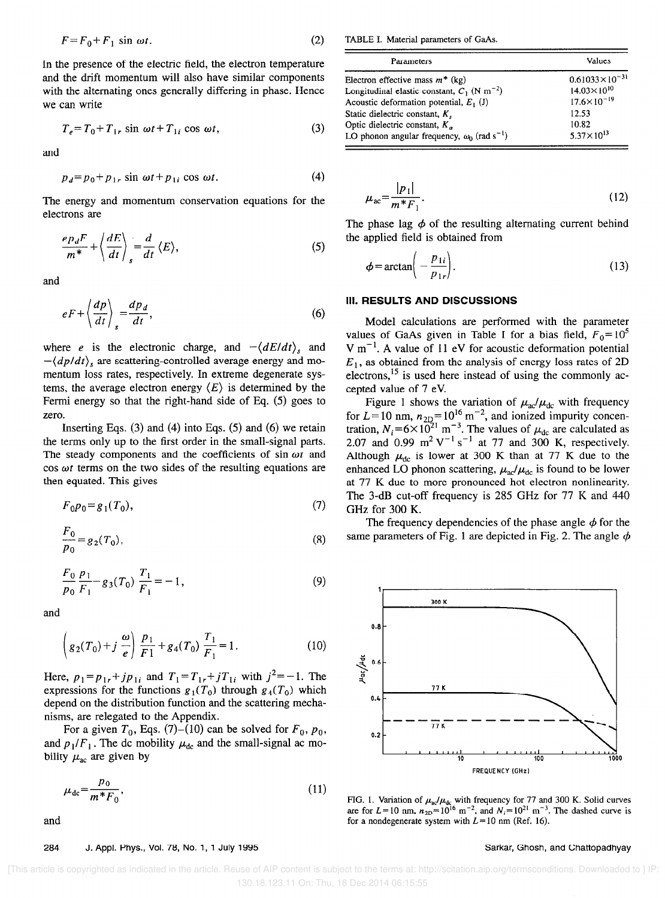$$
F = F_0 + F_1 \sin \omega t. \tag{2}
$$

In the presence of the electric field, the electron temperature and the drift momentum will also have similar components with the alternating ones generally differing in phase. Hence we can write

$$
T_e = T_0 + T_{1r} \sin \omega t + T_{1i} \cos \omega t, \qquad (3)
$$

and

$$
p_d = p_0 + p_{1r} \sin \omega t + p_{1i} \cos \omega t. \tag{4}
$$

The energy and momentum conservation equations for the electrons are

$$
\frac{ep_dF}{m^*} + \left\langle \frac{dE}{dt} \right\rangle_s = \frac{d}{dt} \left\langle E \right\rangle,\tag{5}
$$

and

$$
eF + \left\langle \frac{dp}{dt} \right\rangle_s = \frac{dp_d}{dt},\tag{6}
$$

where e is the electronic charge, and  $-\langle dE/dt \rangle_s$  and  $-\langle dp/dt \rangle_s$  are scattering-controlled average energy and momentum loss rates, respectively. In extreme degenerate systems, the average electron energy  $\langle E \rangle$  is determined by the Fermi energy so that the right-hand side of Eq. (5) goes to zero.

Inserting Eqs.  $(3)$  and  $(4)$  into Eqs.  $(5)$  and  $(6)$  we retain the terms only up to the first order in the small-signal parts. The steady components and the coefficients of sin  $\omega t$  and  $\cos \omega t$  terms on the two sides of the resulting equations are then equated. This gives

$$
F_0 p_0 = g_1(T_0),\tag{7}
$$

$$
\frac{F_0}{p_0} = g_2(T_0),\tag{8}
$$

$$
\frac{F_0}{p_0} \frac{p_1}{F_1} - g_3(T_0) \frac{T_1}{F_1} = -1,
$$
\n(9)

and

$$
\left(g_2(T_0) + j\frac{\omega}{e}\right)\frac{p_1}{F_1} + g_4(T_0)\frac{T_1}{F_1} = 1.
$$
 (10)

Here,  $p_1=p_{1r}+jp_{1i}$  and  $T_1=T_{1r}+jT_{1i}$  with  $j^2=-1$ . The expressions for the functions  $g_1(T_0)$  through  $g_4(T_0)$  which depend on the distribution function and the scattering mechanisms, are relegated to the Appendix.

For a given  $T_0$ , Eqs. (7)–(10) can be solved for  $F_0$ ,  $p_0$ , and  $p_1/F_1$ . The dc mobility  $\mu_{dc}$  and the small-signal ac mobility  $\mu_{ac}$  are given by

$$
\mu_{\rm dc} = \frac{p_0}{m^* F_0},\tag{11}
$$

and

#### 284 J. Appl. Phys., Vol. 78, No. 1, 1 July 1995

TABLE I. Material parameters of GaAs.

l

| Parameters                                                     | Values                  |
|----------------------------------------------------------------|-------------------------|
| Electron effective mass $m^*$ (kg)                             | $0.61033\times10^{-31}$ |
| Longitudinal elastic constant, $C_1$ (N m <sup>-2</sup> )      | $14.03 \times 10^{10}$  |
| Acoustic deformation potential, $E_1$ (J)                      | $17.6 \times 10^{-19}$  |
| Static dielectric constant, $Ks$ .                             | 12.53                   |
| Optic dielectric constant, $K_a$                               | 10.82                   |
| LO phonon angular frequency, $\omega_0$ (rad s <sup>-1</sup> ) | $5.37 \times 10^{13}$   |

$$
u_{ac} = \frac{|p_1|}{m^* F_1}.
$$
 (12)

The phase lag  $\phi$  of the resulting alternating current behind the applied field is obtained from

$$
\phi = \arctan\left(-\frac{p_{1i}}{p_{1r}}\right). \tag{13}
$$

#### III. RESULTS AND DISCUSSIONS

Model calculations are performed with the parameter values of GaAs given in Table I for a bias field,  $F_0=10^5$  $V m^{-1}$ . A value of 11 eV for acoustic deformation potential  $E_1$ , as obtained from the analysis of energy loss rates of 2D electrons,<sup>15</sup> is used here instead of using the commonly accepted value of 7 eV.

Figure 1 shows the variation of  $\mu_{ac}/\mu_{dc}$  with frequency for  $L=10$  nm,  $n_{2D}=10^{10}$  m<sup>-2</sup>, and ionized impurity concentration,  $N_i$ =6×10<sup>21</sup> m<sup>-3</sup>. The values of  $\mu_{\rm dc}$  are calculated as 2.07 and 0.99  $m^2 V^{-1} s^{-1}$  at 77 and 300 K, respectively. Although  $\mu_{dc}$  is lower at 300 K than at 77 K due to the enhanced LO phonon scattering,  $\mu_{ac}/\mu_{dc}$  is found to be lower at 77 K due to more pronounced hot electron nonlinearity. The 3-dB cut-off frequency is 285 GHz for 77 K and 440 GHz for 300 K.

The frequency dependencies of the phase angle  $\phi$  for the same parameters of Fig. 1 are depicted in Fig. 2. The angle  $\phi$ 



FIG. 1. Variation of  $\mu_{\rm ac}/\mu_{\rm dc}$  with frequency for 77 and 300 K. Solid curves are for  $L=10$  nm,  $n_{2D}= 10^{16}$  m<sup>-2</sup>, and  $N_i= 10^{21}$  m<sup>-3</sup>. The dashed curve is for a nondegenerate system with  $L=10$  nm (Ref. 16).

#### Sarkar, Ghosh, and Chattopadhyay

 [This article is copyrighted as indicated in the article. Reuse of AIP content is subject to the terms at: http://scitation.aip.org/termsconditions. Downloaded to ] IP: 130.18.123.11 On: Thu, 18 Dec 2014 06:15:55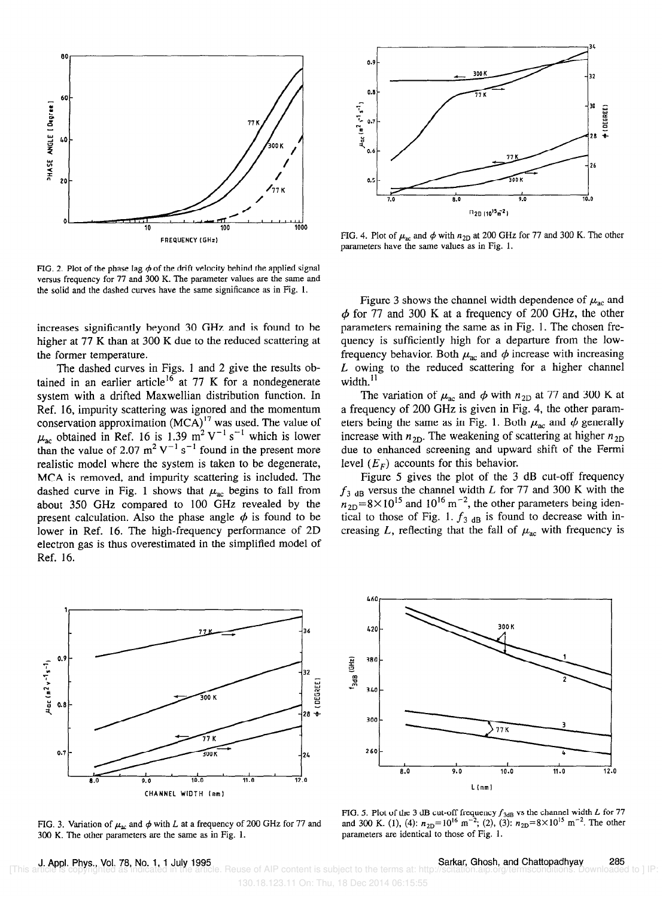

FIG. 2. Plot of the phase lag  $\phi$  of the drift velocity behind the applied signal versus frequency for 77 and 300 K. The parameter values are the same and the solid and the dashed curves have the same significance as in Fig. 1.

increases significantly beyond 30 GHz and is found to be higher at 77 K than at 300 K due to the reduced scattering at the former temperature.

The dashed curves in Figs. 1 and 2 give the results obtained in an earlier article<sup>16</sup> at 77 K for a nondegenerate system with a drifted Maxwellian distribution function. In Ref. 16, impurity scattering was ignored and the momentum conservation approximation (MCA)<sup>17</sup> was used. The value of  $\mu_{ac}$  obtained in Ref. 16 is 1.39 m<sup>2</sup> V<sup>-1</sup> s<sup>-1</sup> which is lower than the value of 2.07  $m^2$  V<sup>-1</sup> s<sup>-1</sup> found in the present more realistic model where the system is taken to be degenerate, MCA is removed, and impurity scattering is included. The dashed curve in Fig. 1 shows that  $\mu_{ac}$  begins to fall from about 350 GHz compared to 100 GHz revealed by the present calculation. Also the phase angle  $\phi$  is found to be lower in Ref. 16. The high-frequency performance of 2D electron gas is thus overestimated in the simplified model of Ref. 16.



FIG. 3. Variation of  $\mu_{\alpha}$  and  $\phi$  with L at a frequency of 200 GHz for 77 and 300 K. The other parameters are the same as in Fig. 1.



FIG. 4. Plot of  $\mu_{ac}$  and  $\phi$  with  $n_{2D}$  at 200 GHz for 77 and 300 K. The other parameters have the same values as in Fig. I.

Figure 3 shows the channel width dependence of  $\mu_{ac}$  and  $\phi$  for 77 and 300 K at a frequency of 200 GHz, the other parameters remaining the same as in Fig. 1. The chosen frequency is sufficiently high for a departure from the lowfrequency behavior. Both  $\mu_{ac}$  and  $\phi$  increase with increasing L owing to the reduced scattering for a higher channel width. $<sup>11</sup>$ </sup>

The variation of  $\mu_{ac}$  and  $\phi$  with  $n_{2D}$  at 77 and 300 K at a frequency of 200 GHz is given in Fig. 4, the other parameters being the same as in Fig. 1. Both  $\mu_{ac}$  and  $\phi$  generally increase with  $n_{2D}$ . The weakening of scattering at higher  $n_{2D}$ due to enhanced screening and upward shift of the Fermi level  $(E_F)$  accounts for this behavior.

Figure 5 gives the plot of the 3 dB cut-off frequency  $f_{3}$  dB versus the channel width L for 77 and 300 K with the  $n_{2D} = 8 \times 10^{15}$  and  $10^{16}$  m<sup>-2</sup>, the other parameters being identical to those of Fig. 1.  $f_{3}$  dB is found to decrease with increasing L, reflecting that the fall of  $\mu_{ac}$  with frequency is



FIG. 5. Plot of the 3 dB cut-off frequency  $f_{3dB}$  vs the channel width L for 77 and 300 K. (1), (4):  $n_{2D} = 10^{16}$  m<sup>-2</sup>; (2), (3):  $n_{2D} = 8 \times 10^{15}$  m<sup>-2</sup>. The other parameters are identical to those of Fig. 1.

130.18.123.11 On: Thu, 18 Dec 2014 06:15:55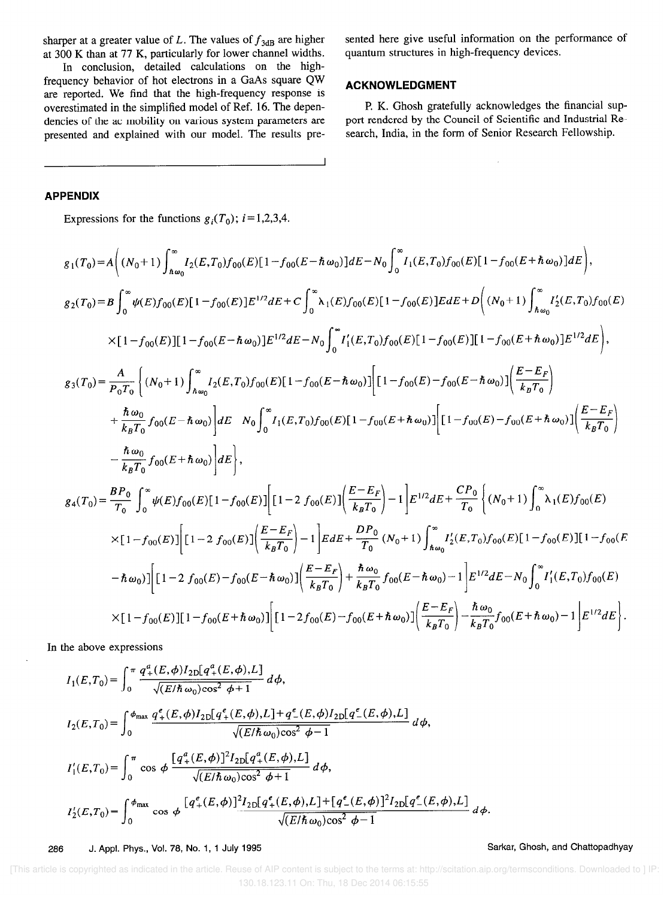sharper at a greater value of L. The values of  $f_{3dB}$  are higher at 300 K than at 77 K, particularly for lower channel widths.

In conclusion, detailed calculations on the highfrequency behavior of hot electrons in a GaAs square QW are reported. We find that the high-frequency response is overestimated in the simplified model of Ref. 16. The dependencies of the ac mobility on various system parameters are presented and explained with our model. The results presented here give useful information on the performance of quantum structures in high-frequency devices.

## ACKNOWLEDGMENT

P. K. Ghosh gratefully acknowledges the financial support rendered by the Council of Scientific and Industrial Research, India, in the form of Senior Research Fellowship.

APPENDIX

Expressions for the functions  $g_i(T_0)$ ;  $i = 1,2,3,4$ .

$$
g_{1}(T_{0}) = A\Big((N_{0}+1)\int_{h\omega_{0}}^{a}I_{2}(E,T_{0})f_{00}(E)[1-f_{00}(E-\hbar\omega_{0})]dE - N_{0}\int_{0}^{\infty}I_{1}(E,T_{0})f_{00}(E)[1-f_{00}(E+\hbar\omega_{0})]dE\Big),
$$
  
\n
$$
g_{2}(T_{0}) = B\int_{0}^{\infty}\psi(E)f_{00}(E)[1-f_{00}(E)]E^{1/2}dE + C\int_{0}^{\infty}\lambda_{1}(E)f_{00}(E)[1-f_{00}(E)]EdE + D\Big((N_{0}+1)\int_{h\omega_{0}}^{\infty}I_{2}'(E,T_{0})f_{00}(E)\Big) \\
\times[1-f_{00}(E)][1-f_{00}(E-\hbar\omega_{0})]E^{1/2}dE - N_{0}\int_{0}^{\infty}I_{1}'(E,T_{0})f_{00}(E)[1-f_{00}(E)][1-f_{00}(E+\hbar\omega_{0})]E^{1/2}dE\Big),
$$
  
\n
$$
g_{3}(T_{0}) = \frac{A}{P_{0}T_{0}}\Big((N_{0}+1)\int_{h\omega_{0}}^{\infty}I_{2}(E,T_{0})f_{00}(E)[1-f_{00}(E-\hbar\omega_{0})]\Big[(1-f_{00}(E)-f_{00}(E-\hbar\omega_{0})]\Big(\frac{E-E_{F}}{k_{B}T_{0}}\Big) \\
+ \frac{\hbar\omega_{0}}{k_{B}T_{0}}f_{00}(E-\hbar\omega_{0})\Big]dE - N_{0}\int_{0}^{\infty}I_{1}(E,T_{0})f_{00}(E)[1-f_{00}(E+\hbar\omega_{0})]\Big[(1-f_{00}(E)-f_{00}(E+\hbar\omega_{0})]\Big(\frac{E-E_{F}}{k_{B}T_{0}}\Big) \\
- \frac{\hbar\omega_{0}}{k_{B}T_{0}}f_{00}(E+\hbar\omega_{0})\Big]dE\Big],
$$
  
\n
$$
g_{4}(T_{0}) = \frac{BP_{0}}{T_{0}}\int_{0}^{\infty}\psi(E)f_{00}(E)[1-f_{00}(E)][1-f_{00}(E)][1-f_{00}(E)]\Big(\frac{E-E_{F}}{k_{B}T_{0}}
$$

In the above expressions

$$
I_{1}(E,T_{0}) = \int_{0}^{\pi} \frac{q_{+}^{a}(E,\phi)I_{2D}[q_{+}^{a}(E,\phi),L]}{\sqrt{(E/\hbar\omega_{0})\cos^{2}\phi+1}} d\phi,
$$
  
\n
$$
I_{2}(E,T_{0}) = \int_{0}^{\phi_{max}} \frac{q_{+}^{e}(E,\phi)I_{2D}[q_{+}^{e}(E,\phi),L] + q_{-}^{e}(E,\phi)I_{2D}[q_{-}^{e}(E,\phi),L]}{\sqrt{(E/\hbar\omega_{0})\cos^{2}\phi-1}} d\phi,
$$
  
\n
$$
I'_{1}(E,T_{0}) = \int_{0}^{\pi} \cos\phi \frac{[q_{+}^{a}(E,\phi)]^{2}I_{2D}[q_{+}^{a}(E,\phi),L]}{\sqrt{(E/\hbar\omega_{0})\cos^{2}\phi+1}} d\phi,
$$
  
\n
$$
I'_{2}(E,T_{0}) = \int_{0}^{\phi_{max}} \cos\phi \frac{[q_{+}^{e}(E,\phi)]^{2}I_{2D}[q_{+}^{e}(E,\phi),L] + [q_{-}^{e}(E,\phi)]^{2}I_{2D}[q_{-}^{e}(E,\phi),L]}{\sqrt{(E/\hbar\omega_{0})\cos^{2}\phi-1}} d\phi.
$$

286 J. Appl. Phys., Vol. 78, No. 1, 1 July 1995 Sarkar, Ghosh, and Chattopadhyay

 [This article is copyrighted as indicated in the article. Reuse of AIP content is subject to the terms at: http://scitation.aip.org/termsconditions. Downloaded to ] IP: 130.18.123.11 On: Thu, 18 Dec 2014 06:15:55